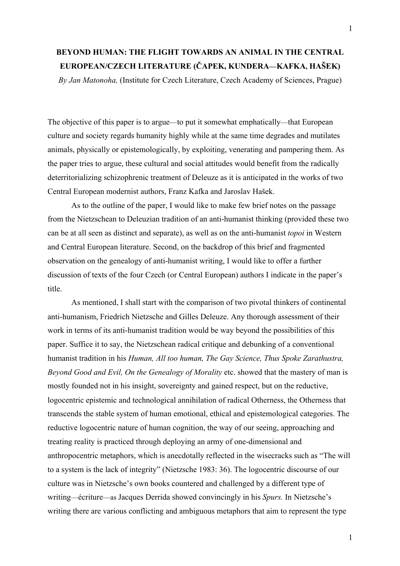## **BEYOND HUMAN: THE FLIGHT TOWARDS AN ANIMAL IN THE CENTRAL EUROPEAN/CZECH LITERATURE (ČAPEK, KUNDERA—KAFKA, HAŠEK)**

*By Jan Matonoha,* (Institute for Czech Literature, Czech Academy of Sciences, Prague)

The objective of this paper is to argue—to put it somewhat emphatically—that European culture and society regards humanity highly while at the same time degrades and mutilates animals, physically or epistemologically, by exploiting, venerating and pampering them. As the paper tries to argue, these cultural and social attitudes would benefit from the radically deterritorializing schizophrenic treatment of Deleuze as it is anticipated in the works of two Central European modernist authors, Franz Kafka and Jaroslav Hašek.

As to the outline of the paper, I would like to make few brief notes on the passage from the Nietzschean to Deleuzian tradition of an anti-humanist thinking (provided these two can be at all seen as distinct and separate), as well as on the anti-humanist *topoi* in Western and Central European literature. Second, on the backdrop of this brief and fragmented observation on the genealogy of anti-humanist writing, I would like to offer a further discussion of texts of the four Czech (or Central European) authors I indicate in the paper's title.

As mentioned, I shall start with the comparison of two pivotal thinkers of continental anti-humanism, Friedrich Nietzsche and Gilles Deleuze. Any thorough assessment of their work in terms of its anti-humanist tradition would be way beyond the possibilities of this paper. Suffice it to say, the Nietzschean radical critique and debunking of a conventional humanist tradition in his *Human, All too human, The Gay Science, Thus Spoke Zarathustra, Beyond Good and Evil, On the Genealogy of Morality* etc. showed that the mastery of man is mostly founded not in his insight, sovereignty and gained respect, but on the reductive, logocentric epistemic and technological annihilation of radical Otherness, the Otherness that transcends the stable system of human emotional, ethical and epistemological categories. The reductive logocentric nature of human cognition, the way of our seeing, approaching and treating reality is practiced through deploying an army of one-dimensional and anthropocentric metaphors, which is anecdotally reflected in the wisecracks such as "The will to a system is the lack of integrity" (Nietzsche 1983: 36). The logocentric discourse of our culture was in Nietzsche's own books countered and challenged by a different type of writing—écriture—as Jacques Derrida showed convincingly in his *Spurs.* In Nietzsche's writing there are various conflicting and ambiguous metaphors that aim to represent the type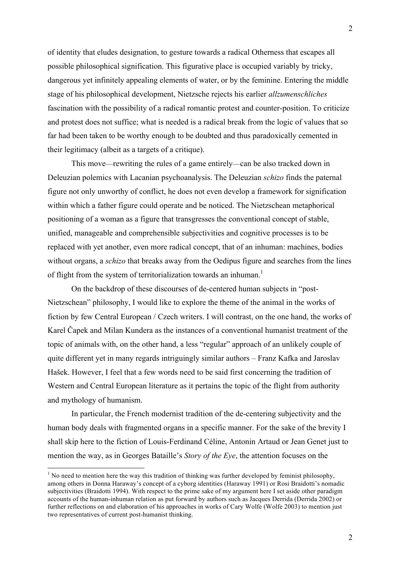of identity that eludes designation, to gesture towards a radical Otherness that escapes all possible philosophical signification. This figurative place is occupied variably by tricky, dangerous yet infinitely appealing elements of water, or by the feminine. Entering the middle stage of his philosophical development, Nietzsche rejects his earlier *allzumenschliches* fascination with the possibility of a radical romantic protest and counter-position. To criticize and protest does not suffice; what is needed is a radical break from the logic of values that so far had been taken to be worthy enough to be doubted and thus paradoxically cemented in their legitimacy (albeit as a targets of a critique).

This move—rewriting the rules of a game entirely—can be also tracked down in Deleuzian polemics with Lacanian psychoanalysis. The Deleuzian *schizo* finds the paternal figure not only unworthy of conflict, he does not even develop a framework for signification within which a father figure could operate and be noticed. The Nietzschean metaphorical positioning of a woman as a figure that transgresses the conventional concept of stable, unified, manageable and comprehensible subjectivities and cognitive processes is to be replaced with yet another, even more radical concept, that of an inhuman: machines, bodies without organs, a *schizo* that breaks away from the Oedipus figure and searches from the lines of flight from the system of territorialization towards an inhuman.<sup>1</sup>

On the backdrop of these discourses of de-centered human subjects in "post-Nietzschean" philosophy, I would like to explore the theme of the animal in the works of fiction by few Central European / Czech writers. I will contrast, on the one hand, the works of Karel Čapek and Milan Kundera as the instances of a conventional humanist treatment of the topic of animals with, on the other hand, a less "regular" approach of an unlikely couple of quite different yet in many regards intriguingly similar authors – Franz Kafka and Jaroslav Hašek. However, I feel that a few words need to be said first concerning the tradition of Western and Central European literature as it pertains the topic of the flight from authority and mythology of humanism.

In particular, the French modernist tradition of the de-centering subjectivity and the human body deals with fragmented organs in a specific manner. For the sake of the brevity I shall skip here to the fiction of Louis-Ferdinand Céline, Antonin Artaud or Jean Genet just to mention the way, as in Georges Bataille's *Story of the Eye*, the attention focuses on the

<sup>&</sup>lt;sup>1</sup> No need to mention here the way this tradition of thinking was further developed by feminist philosophy among others in Donna Haraway's concept of a cyborg identities (Haraway 1991) or Rosi Braidotti's nomadic subjectivities (Braidotti 1994). With respect to the prime sake of my argument here I set aside other paradigm accounts of the human-inhuman relation as put forward by authors such as Jacques Derrida (Derrida 2002) or further reflections on and elaboration of his approaches in works of Cary Wolfe (Wolfe 2003) to mention just two representatives of current post-humanist thinking.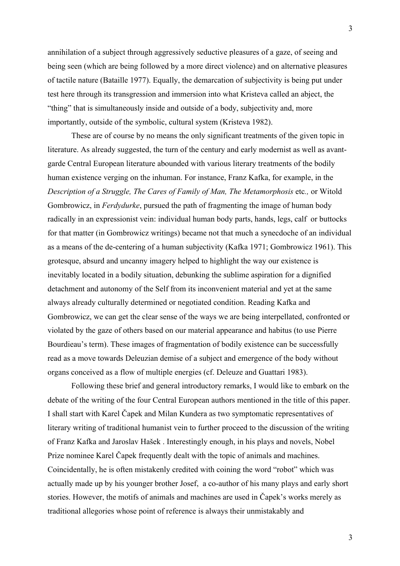annihilation of a subject through aggressively seductive pleasures of a gaze, of seeing and being seen (which are being followed by a more direct violence) and on alternative pleasures of tactile nature (Bataille 1977). Equally, the demarcation of subjectivity is being put under test here through its transgression and immersion into what Kristeva called an abject, the "thing" that is simultaneously inside and outside of a body, subjectivity and, more importantly, outside of the symbolic, cultural system (Kristeva 1982).

These are of course by no means the only significant treatments of the given topic in literature. As already suggested, the turn of the century and early modernist as well as avantgarde Central European literature abounded with various literary treatments of the bodily human existence verging on the inhuman. For instance, Franz Kafka, for example, in the *Description of a Struggle, The Cares of Family of Man, The Metamorphosis* etc*.,* or Witold Gombrowicz, in *Ferdydurke*, pursued the path of fragmenting the image of human body radically in an expressionist vein: individual human body parts, hands, legs, calf or buttocks for that matter (in Gombrowicz writings) became not that much a synecdoche of an individual as a means of the de-centering of a human subjectivity (Kafka 1971; Gombrowicz 1961). This grotesque, absurd and uncanny imagery helped to highlight the way our existence is inevitably located in a bodily situation, debunking the sublime aspiration for a dignified detachment and autonomy of the Self from its inconvenient material and yet at the same always already culturally determined or negotiated condition. Reading Kafka and Gombrowicz, we can get the clear sense of the ways we are being interpellated, confronted or violated by the gaze of others based on our material appearance and habitus (to use Pierre Bourdieau's term). These images of fragmentation of bodily existence can be successfully read as a move towards Deleuzian demise of a subject and emergence of the body without organs conceived as a flow of multiple energies (cf. Deleuze and Guattari 1983).

Following these brief and general introductory remarks, I would like to embark on the debate of the writing of the four Central European authors mentioned in the title of this paper. I shall start with Karel Čapek and Milan Kundera as two symptomatic representatives of literary writing of traditional humanist vein to further proceed to the discussion of the writing of Franz Kafka and Jaroslav Hašek . Interestingly enough, in his plays and novels, Nobel Prize nominee Karel Čapek frequently dealt with the topic of animals and machines. Coincidentally, he is often mistakenly credited with coining the word "robot" which was actually made up by his younger brother Josef, a co-author of his many plays and early short stories. However, the motifs of animals and machines are used in Čapek's works merely as traditional allegories whose point of reference is always their unmistakably and

3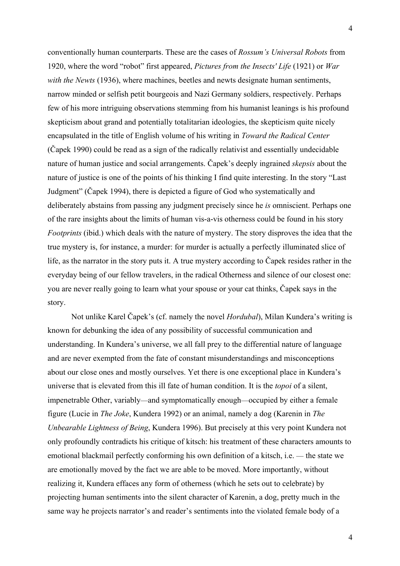conventionally human counterparts. These are the cases of *Rossum's Universal Robots* from 1920, where the word "robot" first appeared, *Pictures from the Insects' Life* (1921) or *War with the Newts* (1936), where machines, beetles and newts designate human sentiments, narrow minded or selfish petit bourgeois and Nazi Germany soldiers, respectively. Perhaps few of his more intriguing observations stemming from his humanist leanings is his profound skepticism about grand and potentially totalitarian ideologies, the skepticism quite nicely encapsulated in the title of English volume of his writing in *Toward the Radical Center* (Čapek 1990) could be read as a sign of the radically relativist and essentially undecidable nature of human justice and social arrangements. Čapek's deeply ingrained *skepsis* about the nature of justice is one of the points of his thinking I find quite interesting. In the story "Last Judgment" (Čapek 1994), there is depicted a figure of God who systematically and deliberately abstains from passing any judgment precisely since he *is* omniscient. Perhaps one of the rare insights about the limits of human vis-a-vis otherness could be found in his story *Footprints* (ibid.) which deals with the nature of mystery. The story disproves the idea that the true mystery is, for instance, a murder: for murder is actually a perfectly illuminated slice of life, as the narrator in the story puts it. A true mystery according to Čapek resides rather in the everyday being of our fellow travelers, in the radical Otherness and silence of our closest one: you are never really going to learn what your spouse or your cat thinks, Čapek says in the story.

Not unlike Karel Čapek's (cf. namely the novel *Hordubal*), Milan Kundera's writing is known for debunking the idea of any possibility of successful communication and understanding. In Kundera's universe, we all fall prey to the differential nature of language and are never exempted from the fate of constant misunderstandings and misconceptions about our close ones and mostly ourselves. Yet there is one exceptional place in Kundera's universe that is elevated from this ill fate of human condition. It is the *topoi* of a silent, impenetrable Other, variably—and symptomatically enough—occupied by either a female figure (Lucie in *The Joke*, Kundera 1992) or an animal, namely a dog (Karenin in *The Unbearable Lightness of Being*, Kundera 1996). But precisely at this very point Kundera not only profoundly contradicts his critique of kitsch: his treatment of these characters amounts to emotional blackmail perfectly conforming his own definition of a kitsch, i.e. — the state we are emotionally moved by the fact we are able to be moved. More importantly, without realizing it, Kundera effaces any form of otherness (which he sets out to celebrate) by projecting human sentiments into the silent character of Karenin, a dog, pretty much in the same way he projects narrator's and reader's sentiments into the violated female body of a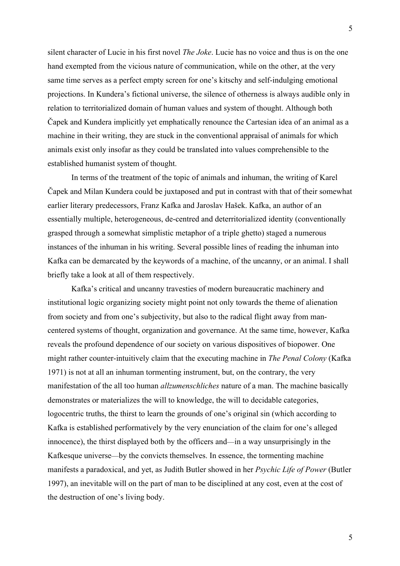silent character of Lucie in his first novel *The Joke*. Lucie has no voice and thus is on the one hand exempted from the vicious nature of communication, while on the other, at the very same time serves as a perfect empty screen for one's kitschy and self-indulging emotional projections. In Kundera's fictional universe, the silence of otherness is always audible only in relation to territorialized domain of human values and system of thought. Although both Čapek and Kundera implicitly yet emphatically renounce the Cartesian idea of an animal as a machine in their writing, they are stuck in the conventional appraisal of animals for which animals exist only insofar as they could be translated into values comprehensible to the established humanist system of thought.

In terms of the treatment of the topic of animals and inhuman, the writing of Karel Čapek and Milan Kundera could be juxtaposed and put in contrast with that of their somewhat earlier literary predecessors, Franz Kafka and Jaroslav Hašek. Kafka, an author of an essentially multiple, heterogeneous, de-centred and deterritorialized identity (conventionally grasped through a somewhat simplistic metaphor of a triple ghetto) staged a numerous instances of the inhuman in his writing. Several possible lines of reading the inhuman into Kafka can be demarcated by the keywords of a machine, of the uncanny, or an animal. I shall briefly take a look at all of them respectively.

Kafka's critical and uncanny travesties of modern bureaucratic machinery and institutional logic organizing society might point not only towards the theme of alienation from society and from one's subjectivity, but also to the radical flight away from mancentered systems of thought, organization and governance. At the same time, however, Kafka reveals the profound dependence of our society on various dispositives of biopower. One might rather counter-intuitively claim that the executing machine in *The Penal Colony* (Kafka 1971) is not at all an inhuman tormenting instrument, but, on the contrary, the very manifestation of the all too human *allzumenschliches* nature of a man. The machine basically demonstrates or materializes the will to knowledge, the will to decidable categories, logocentric truths, the thirst to learn the grounds of one's original sin (which according to Kafka is established performatively by the very enunciation of the claim for one's alleged innocence), the thirst displayed both by the officers and—in a way unsurprisingly in the Kafkesque universe—by the convicts themselves. In essence, the tormenting machine manifests a paradoxical, and yet, as Judith Butler showed in her *Psychic Life of Power* (Butler 1997), an inevitable will on the part of man to be disciplined at any cost, even at the cost of the destruction of one's living body.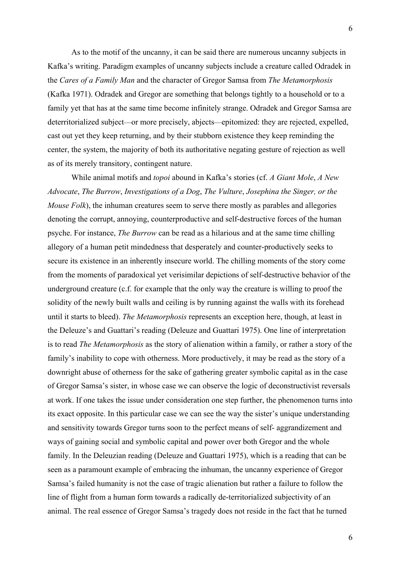As to the motif of the uncanny, it can be said there are numerous uncanny subjects in Kafka's writing. Paradigm examples of uncanny subjects include a creature called Odradek in the *Cares of a Family Man* and the character of Gregor Samsa from *The Metamorphosis*  (Kafka 1971). Odradek and Gregor are something that belongs tightly to a household or to a family yet that has at the same time become infinitely strange. Odradek and Gregor Samsa are deterritorialized subject—or more precisely, abjects—epitomized: they are rejected, expelled, cast out yet they keep returning, and by their stubborn existence they keep reminding the center, the system, the majority of both its authoritative negating gesture of rejection as well as of its merely transitory, contingent nature.

While animal motifs and *topoi* abound in Kafka's stories (cf. *A Giant Mole*, *A New Advocate*, *The Burrow*, *Investigations of a Dog*, *The Vulture*, *Josephina the Singer, or the Mouse Folk*), the inhuman creatures seem to serve there mostly as parables and allegories denoting the corrupt, annoying, counterproductive and self-destructive forces of the human psyche. For instance, *The Burrow* can be read as a hilarious and at the same time chilling allegory of a human petit mindedness that desperately and counter-productively seeks to secure its existence in an inherently insecure world. The chilling moments of the story come from the moments of paradoxical yet verisimilar depictions of self-destructive behavior of the underground creature (c.f. for example that the only way the creature is willing to proof the solidity of the newly built walls and ceiling is by running against the walls with its forehead until it starts to bleed). *The Metamorphosis* represents an exception here, though, at least in the Deleuze's and Guattari's reading (Deleuze and Guattari 1975). One line of interpretation is to read *The Metamorphosis* as the story of alienation within a family, or rather a story of the family's inability to cope with otherness. More productively, it may be read as the story of a downright abuse of otherness for the sake of gathering greater symbolic capital as in the case of Gregor Samsa's sister, in whose case we can observe the logic of deconstructivist reversals at work. If one takes the issue under consideration one step further, the phenomenon turns into its exact opposite. In this particular case we can see the way the sister's unique understanding and sensitivity towards Gregor turns soon to the perfect means of self- aggrandizement and ways of gaining social and symbolic capital and power over both Gregor and the whole family. In the Deleuzian reading (Deleuze and Guattari 1975), which is a reading that can be seen as a paramount example of embracing the inhuman, the uncanny experience of Gregor Samsa's failed humanity is not the case of tragic alienation but rather a failure to follow the line of flight from a human form towards a radically de-territorialized subjectivity of an animal. The real essence of Gregor Samsa's tragedy does not reside in the fact that he turned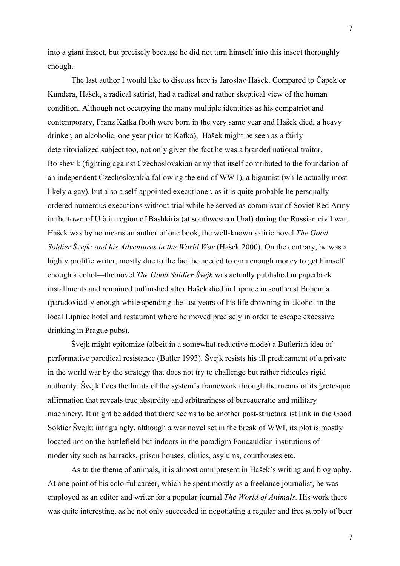into a giant insect, but precisely because he did not turn himself into this insect thoroughly enough.

The last author I would like to discuss here is Jaroslav Hašek. Compared to Čapek or Kundera, Hašek, a radical satirist, had a radical and rather skeptical view of the human condition. Although not occupying the many multiple identities as his compatriot and contemporary, Franz Kafka (both were born in the very same year and Hašek died, a heavy drinker, an alcoholic, one year prior to Kafka), Hašek might be seen as a fairly deterritorialized subject too, not only given the fact he was a branded national traitor, Bolshevik (fighting against Czechoslovakian army that itself contributed to the foundation of an independent Czechoslovakia following the end of WW I), a bigamist (while actually most likely a gay), but also a self-appointed executioner, as it is quite probable he personally ordered numerous executions without trial while he served as commissar of Soviet Red Army in the town of Ufa in region of Bashkiria (at southwestern Ural) during the Russian civil war. Hašek was by no means an author of one book, the well-known satiric novel *The Good Soldier Švejk: and his Adventures in the World War* (Hašek 2000). On the contrary, he was a highly prolific writer, mostly due to the fact he needed to earn enough money to get himself enough alcohol—the novel *The Good Soldier Švejk* was actually published in paperback installments and remained unfinished after Hašek died in Lipnice in southeast Bohemia (paradoxically enough while spending the last years of his life drowning in alcohol in the local Lipnice hotel and restaurant where he moved precisely in order to escape excessive drinking in Prague pubs).

Švejk might epitomize (albeit in a somewhat reductive mode) a Butlerian idea of performative parodical resistance (Butler 1993). Švejk resists his ill predicament of a private in the world war by the strategy that does not try to challenge but rather ridicules rigid authority. Švejk flees the limits of the system's framework through the means of its grotesque affirmation that reveals true absurdity and arbitrariness of bureaucratic and military machinery. It might be added that there seems to be another post-structuralist link in the Good Soldier Švejk: intriguingly, although a war novel set in the break of WWI, its plot is mostly located not on the battlefield but indoors in the paradigm Foucauldian institutions of modernity such as barracks, prison houses, clinics, asylums, courthouses etc.

As to the theme of animals, it is almost omnipresent in Hašek's writing and biography. At one point of his colorful career, which he spent mostly as a freelance journalist, he was employed as an editor and writer for a popular journal *The World of Animals*. His work there was quite interesting, as he not only succeeded in negotiating a regular and free supply of beer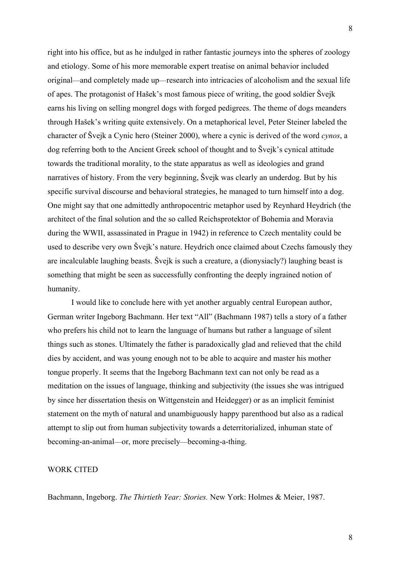right into his office, but as he indulged in rather fantastic journeys into the spheres of zoology and etiology. Some of his more memorable expert treatise on animal behavior included original—and completely made up—research into intricacies of alcoholism and the sexual life of apes. The protagonist of Hašek's most famous piece of writing, the good soldier Švejk earns his living on selling mongrel dogs with forged pedigrees. The theme of dogs meanders through Hašek's writing quite extensively. On a metaphorical level, Peter Steiner labeled the character of Švejk a Cynic hero (Steiner 2000), where a cynic is derived of the word *cynos*, a dog referring both to the Ancient Greek school of thought and to Švejk's cynical attitude towards the traditional morality, to the state apparatus as well as ideologies and grand narratives of history. From the very beginning, Švejk was clearly an underdog. But by his specific survival discourse and behavioral strategies, he managed to turn himself into a dog. One might say that one admittedly anthropocentric metaphor used by Reynhard Heydrich (the architect of the final solution and the so called Reichsprotektor of Bohemia and Moravia during the WWII, assassinated in Prague in 1942) in reference to Czech mentality could be used to describe very own Švejk's nature. Heydrich once claimed about Czechs famously they are incalculable laughing beasts. Švejk is such a creature, a (dionysiacly?) laughing beast is something that might be seen as successfully confronting the deeply ingrained notion of humanity.

I would like to conclude here with yet another arguably central European author, German writer Ingeborg Bachmann. Her text "All" (Bachmann 1987) tells a story of a father who prefers his child not to learn the language of humans but rather a language of silent things such as stones. Ultimately the father is paradoxically glad and relieved that the child dies by accident, and was young enough not to be able to acquire and master his mother tongue properly. It seems that the Ingeborg Bachmann text can not only be read as a meditation on the issues of language, thinking and subjectivity (the issues she was intrigued by since her dissertation thesis on Wittgenstein and Heidegger) or as an implicit feminist statement on the myth of natural and unambiguously happy parenthood but also as a radical attempt to slip out from human subjectivity towards a deterritorialized, inhuman state of becoming-an-animal—or, more precisely—becoming-a-thing.

## WORK CITED

Bachmann, Ingeborg. *The Thirtieth Year: Stories.* New York: Holmes & Meier, 1987.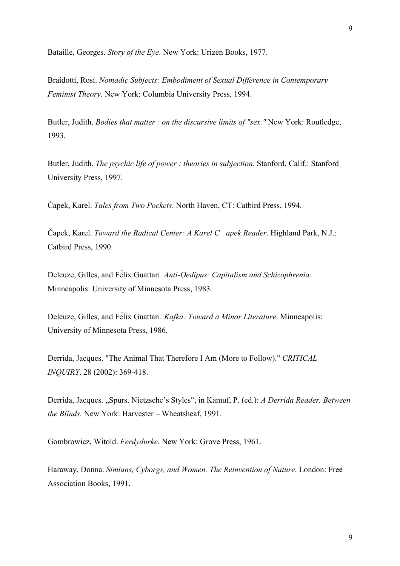Bataille, Georges. *Story of the Eye*. New York: Urizen Books, 1977.

Braidotti, Rosi. *Nomadic Subjects: Embodiment of Sexual Difference in Contemporary Feminist Theory.* New York: Columbia University Press, 1994.

Butler, Judith. *Bodies that matter : on the discursive limits of "sex."* New York: Routledge, 1993.

Butler, Judith. *The psychic life of power : theories in subjection.* Stanford, Calif.: Stanford University Press, 1997.

Čapek, Karel. *Tales from Two Pockets*. North Haven, CT: Catbird Press, 1994.

Čapek, Karel. *Toward the Radical Center: A Karel C apek Reader*. Highland Park, N.J.: Catbird Press, 1990.

Deleuze, Gilles, and Félix Guattari. *Anti-Oedipus: Capitalism and Schizophrenia.* Minneapolis: University of Minnesota Press, 1983.

Deleuze, Gilles, and Félix Guattari. *Kafka: Toward a Minor Literature*. Minneapolis: University of Minnesota Press, 1986.

Derrida, Jacques. "The Animal That Therefore I Am (More to Follow)." *CRITICAL INQUIRY*. 28 (2002): 369-418.

Derrida, Jacques. "Spurs. Nietzsche's Styles", in Kamuf, P. (ed.): *A Derrida Reader. Between the Blinds.* New York: Harvester – Wheatsheaf, 1991.

Gombrowicz, Witold. *Ferdydurke*. New York: Grove Press, 1961.

Haraway, Donna. *Simians, Cyborgs, and Women. The Reinvention of Nature*. London: Free Association Books, 1991.